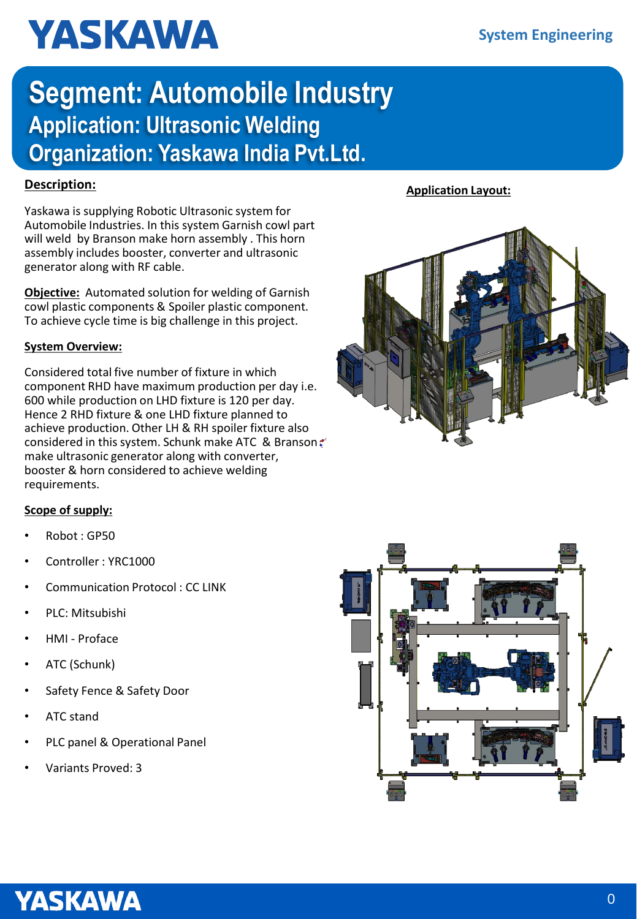# **YASKAWA**

### **Segment: Automobile Industry Application: Ultrasonic Welding Organization: Yaskawa India Pvt.Ltd.**

Yaskawa is supplying Robotic Ultrasonic system for Automobile Industries. In this system Garnish cowl part will weld by Branson make horn assembly . This horn assembly includes booster, converter and ultrasonic generator along with RF cable.

**Objective:** Automated solution for welding of Garnish cowl plastic components & Spoiler plastic component. To achieve cycle time is big challenge in this project.

### **System Overview:**

Considered total five number of fixture in which component RHD have maximum production per day i.e. 600 while production on LHD fixture is 120 per day. Hence 2 RHD fixture & one LHD fixture planned to achieve production. Other LH & RH spoiler fixture also considered in this system. Schunk make ATC & Branson make ultrasonic generator along with converter, booster & horn considered to achieve welding requirements.

### **Scope of supply:**

- Robot : GP50
- Controller : YRC1000
- Communication Protocol : CC LINK
- PLC: Mitsubishi
- HMI Proface
- ATC (Schunk)
- Safety Fence & Safety Door
- ATC stand
- PLC panel & Operational Panel
- Variants Proved: 3







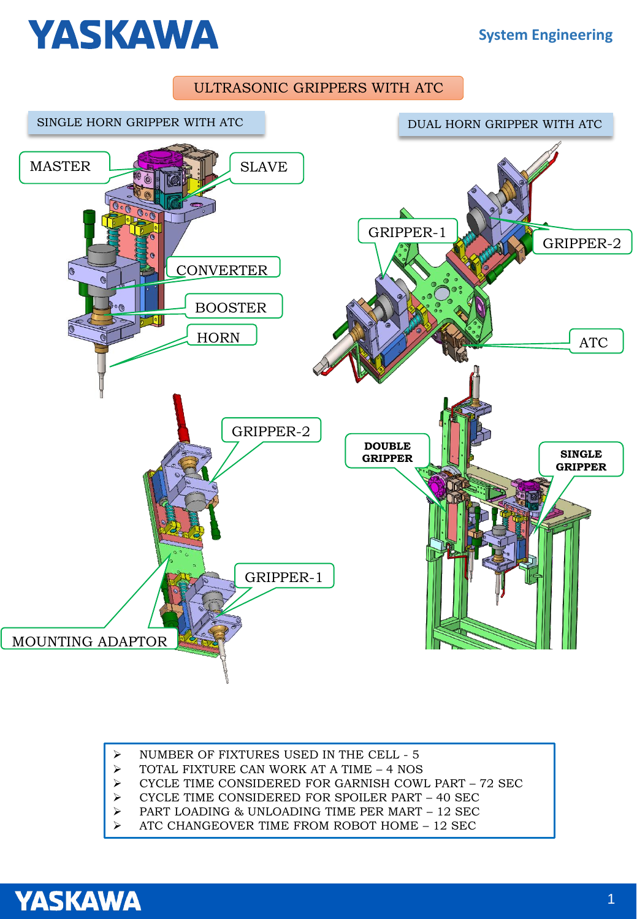## **YASKAWA**

### ULTRASONIC GRIPPERS WITH ATC



- ➢ NUMBER OF FIXTURES USED IN THE CELL 5
- ➢ TOTAL FIXTURE CAN WORK AT A TIME 4 NOS
- ➢ CYCLE TIME CONSIDERED FOR GARNISH COWL PART 72 SEC
- ➢ CYCLE TIME CONSIDERED FOR SPOILER PART 40 SEC
- ➢ PART LOADING & UNLOADING TIME PER MART 12 SEC
- ➢ ATC CHANGEOVER TIME FROM ROBOT HOME 12 SEC